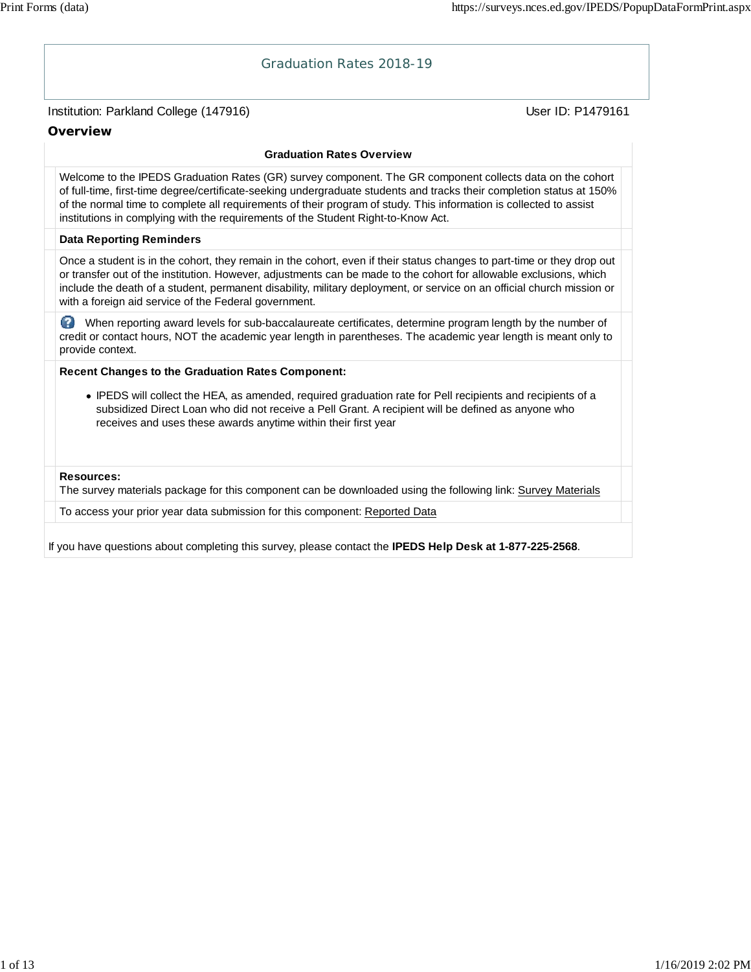# Institution: Parkland College (147916) November 2012 12: Physics User ID: P1479161 Graduation Rates 2018-19 **Overview Graduation Rates Overview** Welcome to the IPEDS Graduation Rates (GR) survey component. The GR component collects data on the cohort of full-time, first-time degree/certificate-seeking undergraduate students and tracks their completion status at 150% of the normal time to complete all requirements of their program of study. This information is collected to assist institutions in complying with the requirements of the Student Right-to-Know Act. **Data Reporting Reminders** Once a student is in the cohort, they remain in the cohort, even if their status changes to part-time or they drop out or transfer out of the institution. However, adjustments can be made to the cohort for allowable exclusions, which include the death of a student, permanent disability, military deployment, or service on an official church mission or with a foreign aid service of the Federal government. When reporting award levels for sub-baccalaureate certificates, determine program length by the number of credit or contact hours, NOT the academic year length in parentheses. The academic year length is meant only to provide context. **Recent Changes to the Graduation Rates Component:** IPEDS will collect the HEA, as amended, required graduation rate for Pell recipients and recipients of a subsidized Direct Loan who did not receive a Pell Grant. A recipient will be defined as anyone who receives and uses these awards anytime within their first year **Resources:** The survey materials package for this component can be downloaded using the following link: Survey Materials To access your prior year data submission for this component: Reported Data If you have questions about completing this survey, please contact the **IPEDS Help Desk at 1-877-225-2568**.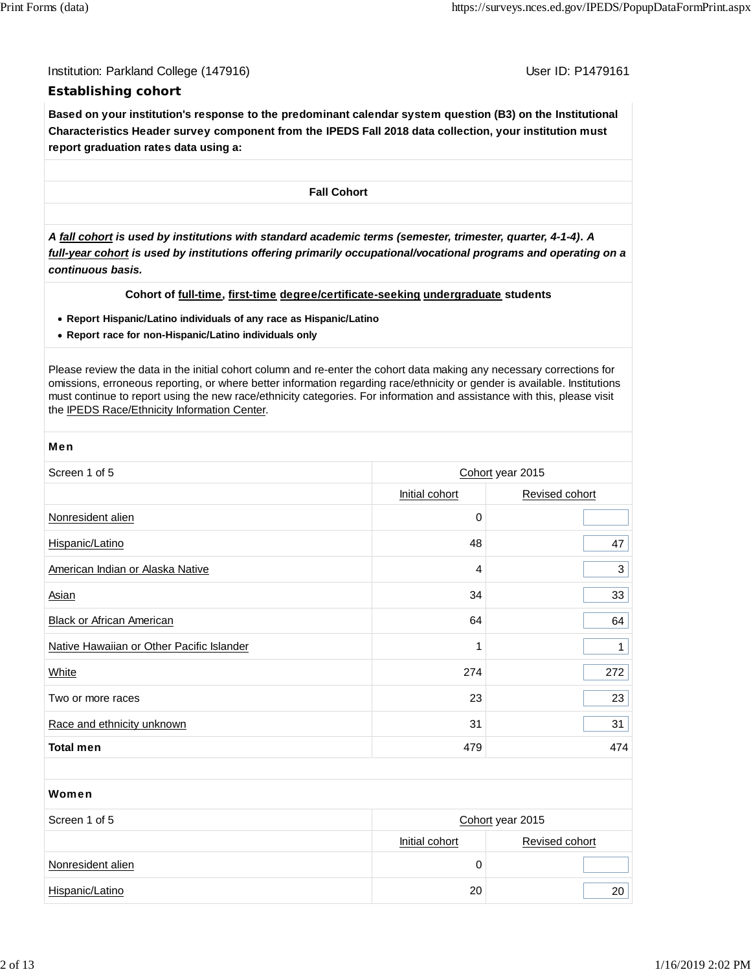Institution: Parkland College (147916) November 2012 12: P1479161

# **Establishing cohort**

**Based on your institution's response to the predominant calendar system question (B3) on the Institutional Characteristics Header survey component from the IPEDS Fall 2018 data collection, your institution must report graduation rates data using a:**

**Fall Cohort**

*A fall cohort is used by institutions with standard academic terms (semester, trimester, quarter, 4-1-4). A full-year cohort is used by institutions offering primarily occupational/vocational programs and operating on a continuous basis.*

### **Cohort of full-time, first-time degree/certificate-seeking undergraduate students**

- **Report Hispanic/Latino individuals of any race as Hispanic/Latino**
- **Report race for non-Hispanic/Latino individuals only**

Please review the data in the initial cohort column and re-enter the cohort data making any necessary corrections for omissions, erroneous reporting, or where better information regarding race/ethnicity or gender is available. Institutions must continue to report using the new race/ethnicity categories. For information and assistance with this, please visit the IPEDS Race/Ethnicity Information Center.

| <b>Men</b>                                |                |                  |  |  |
|-------------------------------------------|----------------|------------------|--|--|
| Screen 1 of 5                             |                | Cohort year 2015 |  |  |
|                                           | Initial cohort | Revised cohort   |  |  |
| Nonresident alien                         | $\mathbf 0$    |                  |  |  |
| Hispanic/Latino                           | 48             | 47               |  |  |
| American Indian or Alaska Native          | 4              | 3                |  |  |
| <b>Asian</b>                              | 34             | 33               |  |  |
| <b>Black or African American</b>          | 64             | 64               |  |  |
| Native Hawaiian or Other Pacific Islander | 1              | $\mathbf{1}$     |  |  |
| White                                     | 274            | 272              |  |  |
| Two or more races                         | 23             | 23               |  |  |
| Race and ethnicity unknown                | 31             | 31               |  |  |
| <b>Total men</b>                          | 479            | 474              |  |  |
|                                           |                |                  |  |  |
| Women                                     |                |                  |  |  |
| Screen 1 of 5                             |                | Cohort year 2015 |  |  |
|                                           | Initial cohort | Revised cohort   |  |  |

Hispanic/Latino 20 20

Nonresident alien 0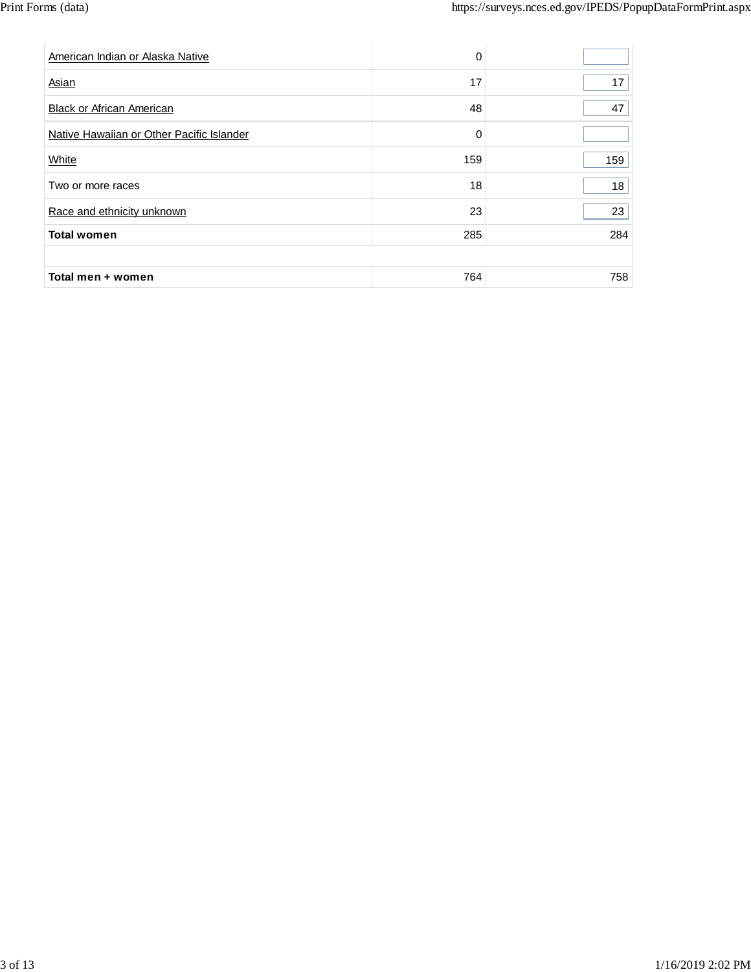| American Indian or Alaska Native          | $\Omega$ |     |
|-------------------------------------------|----------|-----|
| Asian                                     | 17       | 17  |
| <b>Black or African American</b>          | 48       | 47  |
| Native Hawaiian or Other Pacific Islander | $\Omega$ |     |
| White                                     | 159      | 159 |
| Two or more races                         | 18       | 18  |
| Race and ethnicity unknown                | 23       | 23  |
| <b>Total women</b>                        | 285      | 284 |
|                                           |          |     |
| Total men + women                         | 764      | 758 |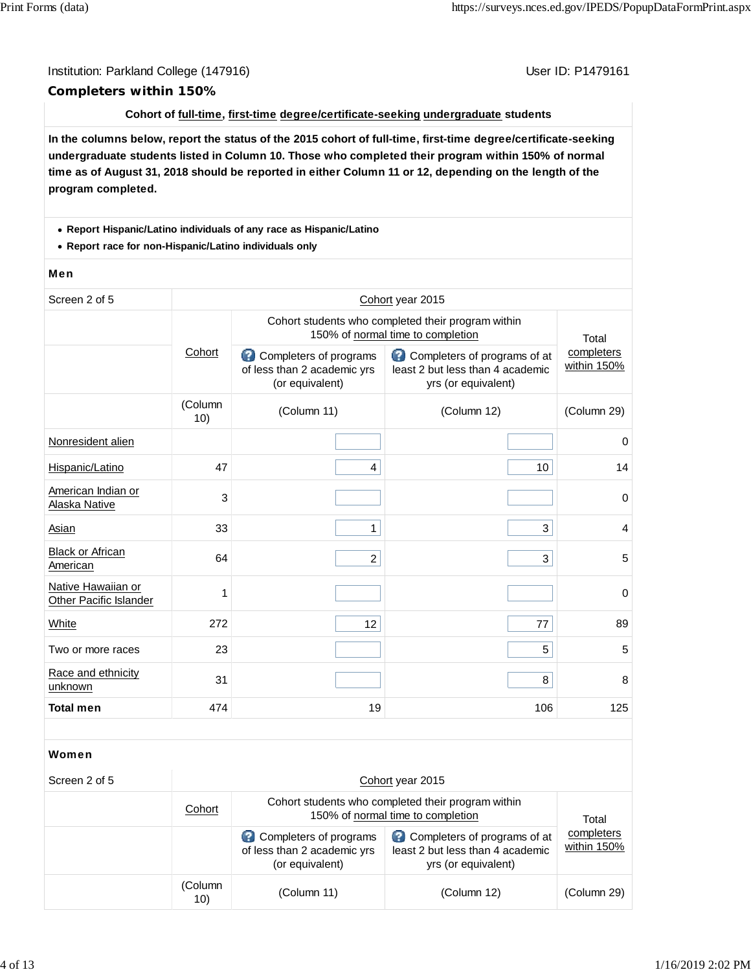# Institution: Parkland College (147916) November 2012 12: P1479161 **Completers within 150%**

### **Cohort of full-time, first-time degree/certificate-seeking undergraduate students**

**In the columns below, report the status of the 2015 cohort of full-time, first-time degree/certificate-seeking undergraduate students listed in Column 10. Those who completed their program within 150% of normal time as of August 31, 2018 should be reported in either Column 11 or 12, depending on the length of the program completed.**

### **Report Hispanic/Latino individuals of any race as Hispanic/Latino**

**Report race for non-Hispanic/Latino individuals only**

### Men

| Screen 2 of 5                                |                |                                                                                         | Cohort year 2015                                                                        |                           |  |
|----------------------------------------------|----------------|-----------------------------------------------------------------------------------------|-----------------------------------------------------------------------------------------|---------------------------|--|
|                                              |                | Cohort students who completed their program within<br>150% of normal time to completion |                                                                                         |                           |  |
|                                              | Cohort         | Completers of programs<br>of less than 2 academic yrs<br>(or equivalent)                | Completers of programs of at<br>least 2 but less than 4 academic<br>yrs (or equivalent) | completers<br>within 150% |  |
|                                              | (Column<br>10) | (Column 11)                                                                             | (Column 12)                                                                             | (Column 29)               |  |
| Nonresident alien                            |                |                                                                                         |                                                                                         | $\mathbf 0$               |  |
| Hispanic/Latino                              | 47             | 4                                                                                       | 10                                                                                      | 14                        |  |
| American Indian or<br>Alaska Native          | 3              |                                                                                         |                                                                                         | 0                         |  |
| Asian                                        | 33             | $\mathbf{1}$                                                                            | 3                                                                                       | $\overline{4}$            |  |
| <b>Black or African</b><br>American          | 64             | $\overline{a}$                                                                          | 3                                                                                       | 5                         |  |
| Native Hawaiian or<br>Other Pacific Islander | 1              |                                                                                         |                                                                                         | $\mathbf 0$               |  |
| White                                        | 272            | 12                                                                                      | 77                                                                                      | 89                        |  |
| Two or more races                            | 23             |                                                                                         | 5                                                                                       | 5                         |  |
| Race and ethnicity<br>unknown                | 31             |                                                                                         | 8                                                                                       | 8                         |  |
|                                              |                | 19                                                                                      | 106                                                                                     | 125                       |  |

| Screen 2 of 5 |                | Cohort year 2015                                                                        |                                                                                         |                           |  |  |  |
|---------------|----------------|-----------------------------------------------------------------------------------------|-----------------------------------------------------------------------------------------|---------------------------|--|--|--|
|               | Cohort         | Cohort students who completed their program within<br>150% of normal time to completion | Total                                                                                   |                           |  |  |  |
|               |                | Completers of programs<br>of less than 2 academic yrs<br>(or equivalent)                | Completers of programs of at<br>least 2 but less than 4 academic<br>yrs (or equivalent) | completers<br>within 150% |  |  |  |
|               | (Column<br>10) | (Column 11)                                                                             | (Column 12)                                                                             | (Column 29)               |  |  |  |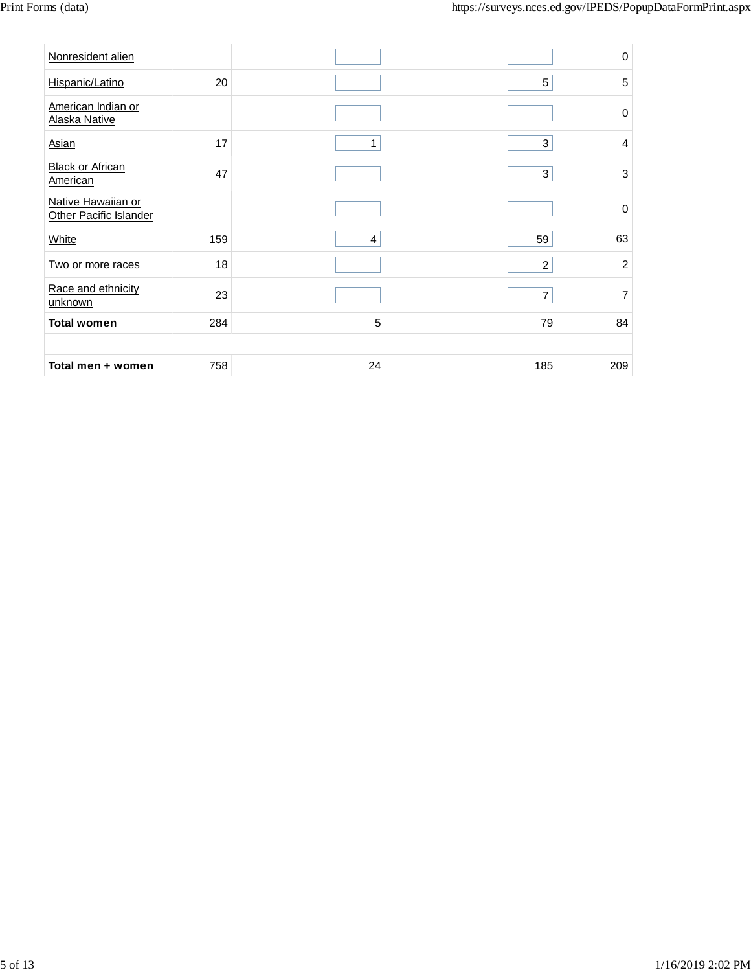| Nonresident alien                            |     |                |                | $\pmb{0}$        |
|----------------------------------------------|-----|----------------|----------------|------------------|
| Hispanic/Latino                              | 20  |                | 5              | 5                |
| American Indian or<br>Alaska Native          |     |                |                | $\boldsymbol{0}$ |
| <b>Asian</b>                                 | 17  | 1              | 3              | $\overline{4}$   |
| <b>Black or African</b><br><b>American</b>   | 47  |                | 3              | $\mathbf{3}$     |
| Native Hawaiian or<br>Other Pacific Islander |     |                |                | $\boldsymbol{0}$ |
| <b>White</b>                                 | 159 | $\overline{4}$ | 59             | 63               |
| Two or more races                            | 18  |                | $\overline{c}$ | $\overline{2}$   |
| Race and ethnicity<br>unknown                | 23  |                | $\overline{7}$ | $\overline{7}$   |
| <b>Total women</b>                           | 284 | 5              | 79             | 84               |
|                                              |     |                |                |                  |
| Total men + women                            | 758 | 24             | 185            | 209              |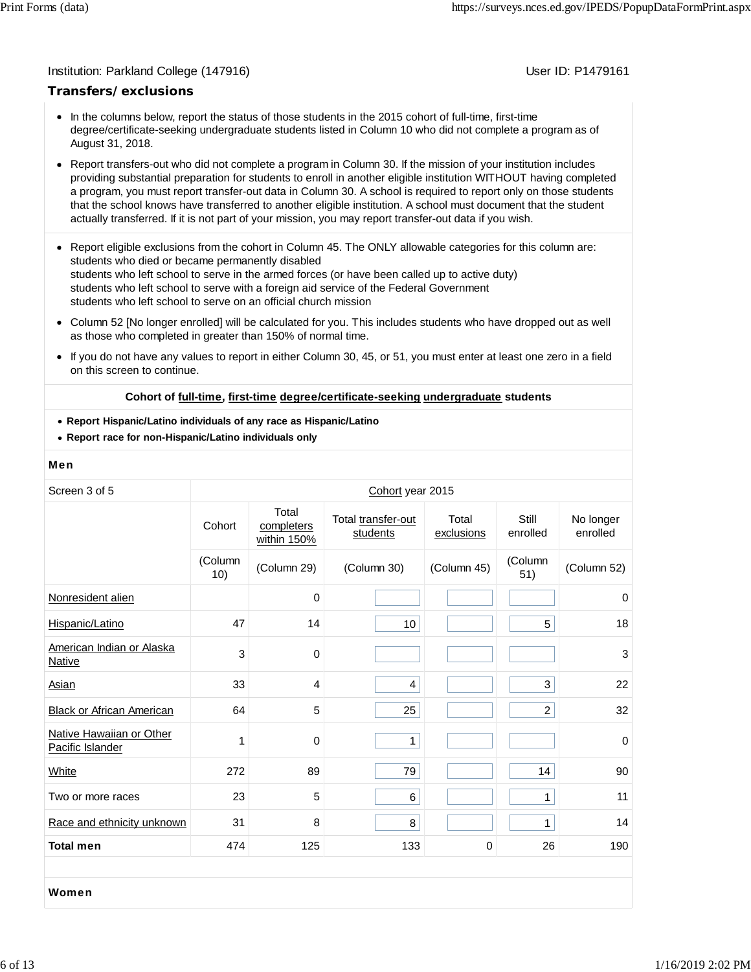### Institution: Parkland College (147916) November 2012 12: P1479161

## **Transfers/exclusions**

- In the columns below, report the status of those students in the 2015 cohort of full-time, first-time degree/certificate-seeking undergraduate students listed in Column 10 who did not complete a program as of August 31, 2018.
- Report transfers-out who did not complete a program in Column 30. If the mission of your institution includes providing substantial preparation for students to enroll in another eligible institution WITHOUT having completed a program, you must report transfer-out data in Column 30. A school is required to report only on those students that the school knows have transferred to another eligible institution. A school must document that the student actually transferred. If it is not part of your mission, you may report transfer-out data if you wish.
- Report eligible exclusions from the cohort in Column 45. The ONLY allowable categories for this column are: students who died or became permanently disabled students who left school to serve in the armed forces (or have been called up to active duty) students who left school to serve with a foreign aid service of the Federal Government students who left school to serve on an official church mission
- Column 52 [No longer enrolled] will be calculated for you. This includes students who have dropped out as well as those who completed in greater than 150% of normal time.
- $\bullet$ If you do not have any values to report in either Column 30, 45, or 51, you must enter at least one zero in a field on this screen to continue.

### **Cohort of full-time, first-time degree/certificate-seeking undergraduate students**

- **Report Hispanic/Latino individuals of any race as Hispanic/Latino**
- **Report race for non-Hispanic/Latino individuals only**

### Men

| Screen 3 of 5                                |                |                                    | Cohort year 2015               |                     |                   |                       |
|----------------------------------------------|----------------|------------------------------------|--------------------------------|---------------------|-------------------|-----------------------|
|                                              | Cohort         | Total<br>completers<br>within 150% | Total transfer-out<br>students | Total<br>exclusions | Still<br>enrolled | No longer<br>enrolled |
|                                              | (Column<br>10) | (Column 29)                        | (Column 30)                    | (Column 45)         | (Column<br>51)    | (Column 52)           |
| Nonresident alien                            |                | $\pmb{0}$                          |                                |                     |                   | 0                     |
| Hispanic/Latino                              | 47             | 14                                 | 10                             |                     | 5                 | 18                    |
| American Indian or Alaska<br>Native          | 3              | 0                                  |                                |                     |                   | 3                     |
| Asian                                        | 33             | 4                                  | $\overline{4}$                 |                     | 3                 | 22                    |
| <b>Black or African American</b>             | 64             | 5                                  | 25                             |                     | $\overline{c}$    | 32                    |
| Native Hawaiian or Other<br>Pacific Islander | 1              | 0                                  | 1                              |                     |                   | $\Omega$              |
| White                                        | 272            | 89                                 | 79                             |                     | 14                | 90                    |
| Two or more races                            | 23             | 5                                  | 6                              |                     | 1                 | 11                    |
| Race and ethnicity unknown                   | 31             | 8                                  | 8                              |                     | $\mathbf{1}$      | 14                    |
| <b>Total men</b>                             | 474            | 125                                | 133                            | $\mathbf 0$         | 26                | 190                   |
|                                              |                |                                    |                                |                     |                   |                       |
| Women                                        |                |                                    |                                |                     |                   |                       |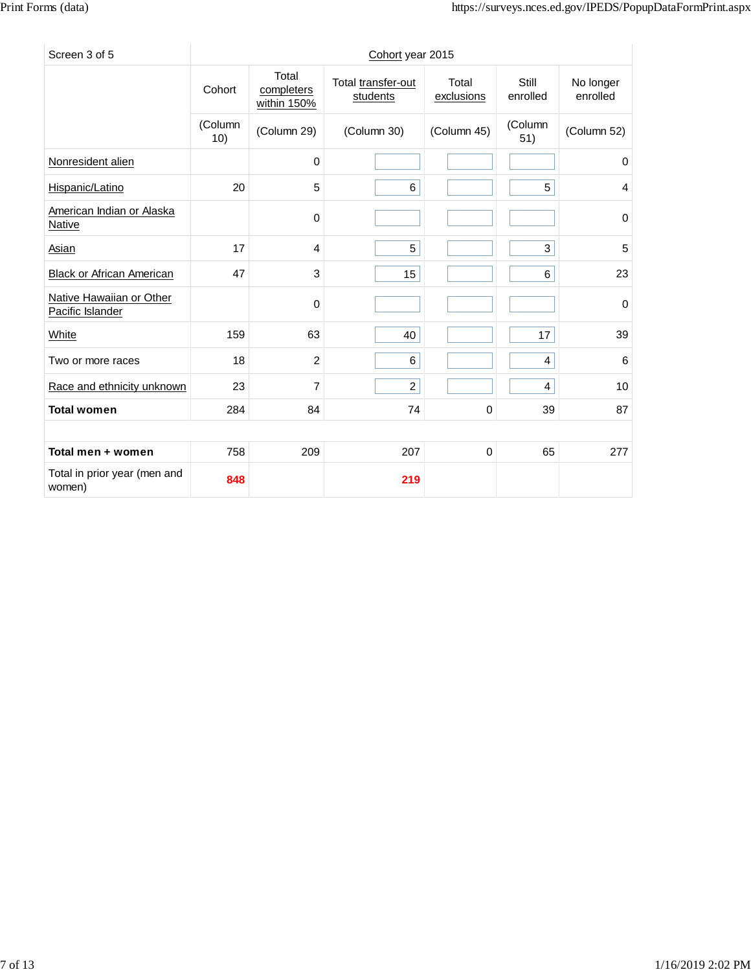| Screen 3 of 5                                |                |                                    | Cohort year 2015               |                     |                   |                       |
|----------------------------------------------|----------------|------------------------------------|--------------------------------|---------------------|-------------------|-----------------------|
|                                              | Cohort         | Total<br>completers<br>within 150% | Total transfer-out<br>students | Total<br>exclusions | Still<br>enrolled | No longer<br>enrolled |
|                                              | (Column<br>10) | (Column 29)                        | (Column 30)                    | (Column 45)         | (Column<br>51)    | (Column 52)           |
| Nonresident alien                            |                | $\mathbf 0$                        |                                |                     |                   | $\mathbf 0$           |
| Hispanic/Latino                              | 20             | 5                                  | 6                              |                     | 5                 | 4                     |
| American Indian or Alaska<br><b>Native</b>   |                | 0                                  |                                |                     |                   | 0                     |
| Asian                                        | 17             | 4                                  | 5                              |                     | 3                 | 5                     |
| <b>Black or African American</b>             | 47             | 3                                  | 15                             |                     | 6                 | 23                    |
| Native Hawaiian or Other<br>Pacific Islander |                | $\mathbf 0$                        |                                |                     |                   | 0                     |
| White                                        | 159            | 63                                 | 40                             |                     | 17                | 39                    |
| Two or more races                            | 18             | 2                                  | 6                              |                     | $\overline{4}$    | 6                     |
| Race and ethnicity unknown                   | 23             | 7                                  | $\overline{2}$                 |                     | 4                 | 10                    |
| <b>Total women</b>                           | 284            | 84                                 | 74                             | $\mathbf 0$         | 39                | 87                    |
|                                              |                |                                    |                                |                     |                   |                       |
| Total men + women                            | 758            | 209                                | 207                            | 0                   | 65                | 277                   |
| Total in prior year (men and<br>women)       | 848            |                                    | 219                            |                     |                   |                       |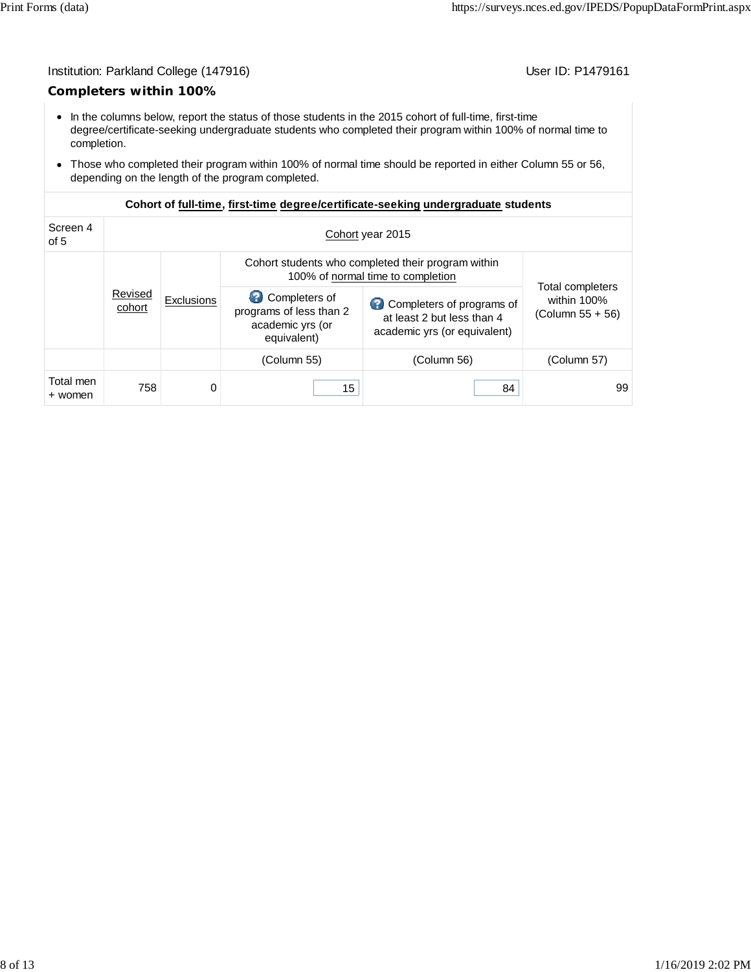# Institution: Parkland College (147916) Contract College (147916)

# **Completers within 100%**

- In the columns below, report the status of those students in the 2015 cohort of full-time, first-time degree/certificate-seeking undergraduate students who completed their program within 100% of normal time to completion.
- Those who completed their program within 100% of normal time should be reported in either Column 55 or 56, depending on the length of the program completed.

| Screen 4<br>of 5     | Cohort year 2015                                                                        |                   |                                                                             |                                                                                         |                                                               |  |  |
|----------------------|-----------------------------------------------------------------------------------------|-------------------|-----------------------------------------------------------------------------|-----------------------------------------------------------------------------------------|---------------------------------------------------------------|--|--|
|                      | Cohort students who completed their program within<br>100% of normal time to completion |                   |                                                                             |                                                                                         |                                                               |  |  |
|                      | Revised<br>cohort                                                                       | <b>Exclusions</b> | Completers of<br>programs of less than 2<br>academic yrs (or<br>equivalent) | Completers of programs of<br>at least 2 but less than 4<br>academic yrs (or equivalent) | <b>Total completers</b><br>within 100%<br>(Column $55 + 56$ ) |  |  |
|                      |                                                                                         |                   | (Column 55)                                                                 | (Column 56)                                                                             | (Column 57)                                                   |  |  |
| Total men<br>+ women | 758                                                                                     | 0                 | 15                                                                          | 84                                                                                      | 99                                                            |  |  |

# **Cohort of full-time, first-time degree/certificate-seeking undergraduate students**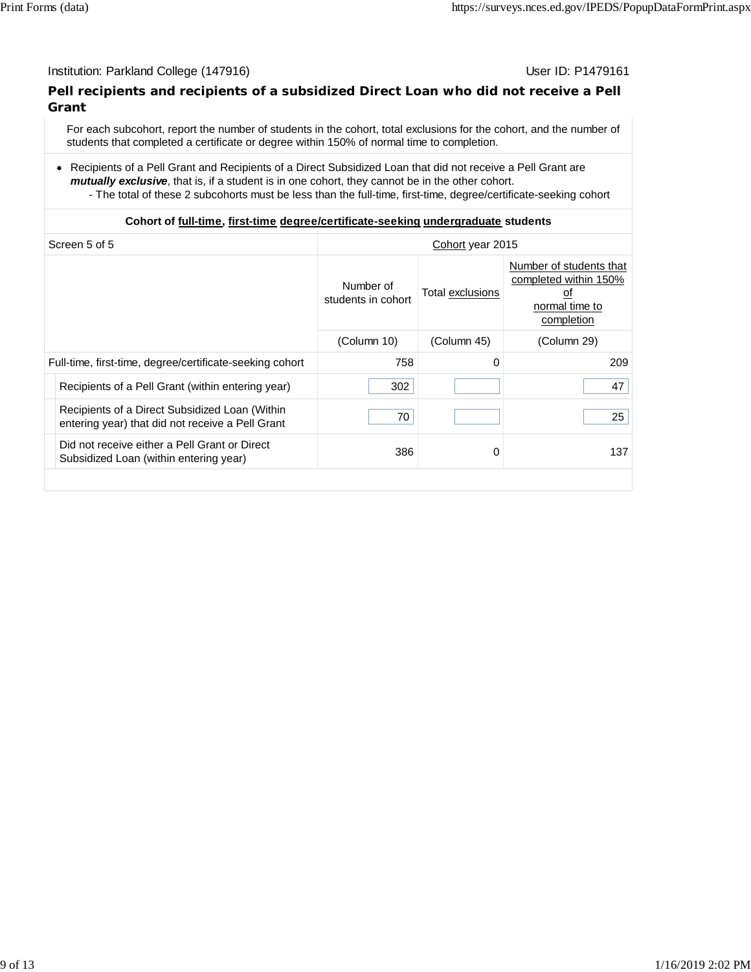# Institution: Parkland College (147916) November 2012 12: P1479161

# **Pell recipients and recipients of a subsidized Direct Loan who did not receive a Pell Grant**

For each subcohort, report the number of students in the cohort, total exclusions for the cohort, and the number of students that completed a certificate or degree within 150% of normal time to completion.

Recipients of a Pell Grant and Recipients of a Direct Subsidized Loan that did not receive a Pell Grant are *mutually exclusive*, that is, if a student is in one cohort, they cannot be in the other cohort.

- The total of these 2 subcohorts must be less than the full-time, first-time, degree/certificate-seeking cohort

# **Cohort of full-time, first-time degree/certificate-seeking undergraduate students**

| Screen 5 of 5<br>Cohort year 2015                                                                  |                                 |                         |                                                                                        |
|----------------------------------------------------------------------------------------------------|---------------------------------|-------------------------|----------------------------------------------------------------------------------------|
|                                                                                                    | Number of<br>students in cohort | <b>Total exclusions</b> | Number of students that<br>completed within 150%<br>οt<br>normal time to<br>completion |
|                                                                                                    | (Column 10)                     | (Column 45)             | (Column 29)                                                                            |
| Full-time, first-time, degree/certificate-seeking cohort                                           | 758                             | 0                       | 209                                                                                    |
| Recipients of a Pell Grant (within entering year)                                                  | 302                             |                         | 47                                                                                     |
| Recipients of a Direct Subsidized Loan (Within<br>entering year) that did not receive a Pell Grant | 70                              |                         | 25                                                                                     |
| Did not receive either a Pell Grant or Direct<br>Subsidized Loan (within entering year)            | 386                             | 0                       | 137                                                                                    |
|                                                                                                    |                                 |                         |                                                                                        |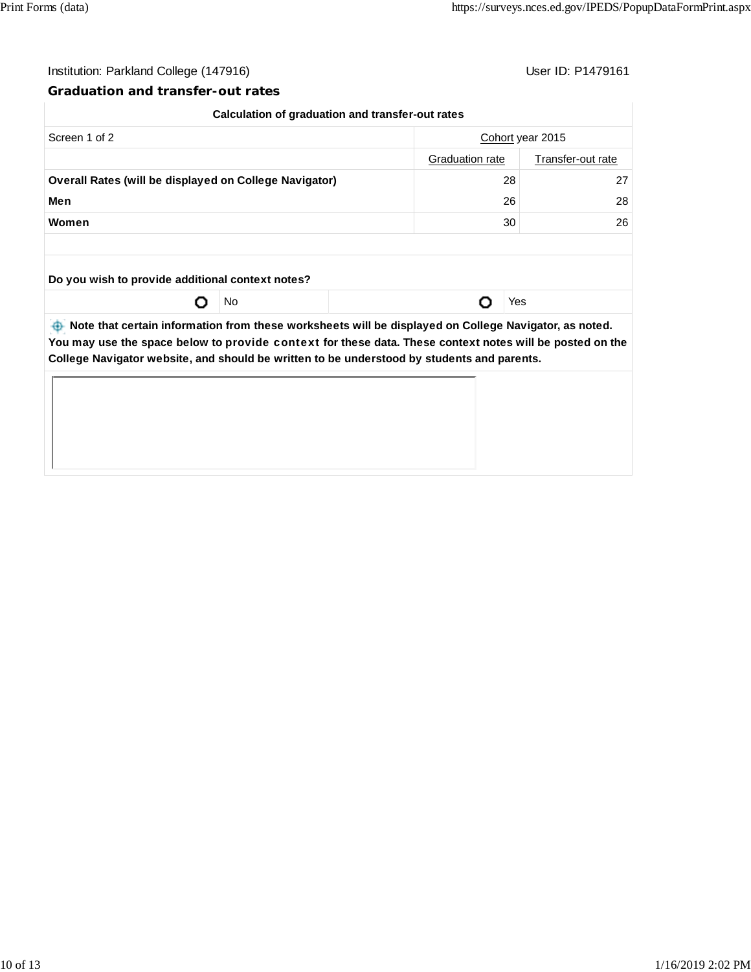# Institution: Parkland College (147916) Contract College (147916)

# **Graduation and transfer-out rates**

|                                                                                                                   | Calculation of graduation and transfer-out rates |    |                  |  |
|-------------------------------------------------------------------------------------------------------------------|--------------------------------------------------|----|------------------|--|
| Screen 1 of 2                                                                                                     |                                                  |    | Cohort year 2015 |  |
|                                                                                                                   | Transfer-out rate<br><b>Graduation rate</b>      |    |                  |  |
| <b>Overall Rates (will be displayed on College Navigator)</b>                                                     |                                                  | 28 | 27               |  |
| Men                                                                                                               |                                                  | 26 | 28               |  |
| Women                                                                                                             |                                                  | 30 | 26               |  |
|                                                                                                                   |                                                  |    |                  |  |
| Do you wish to provide additional context notes?                                                                  |                                                  |    |                  |  |
|                                                                                                                   | No                                               |    | Yes              |  |
| $\bigoplus$ Note that certain information from these worksheets will be displayed on College Navigator, as noted. |                                                  |    |                  |  |

ts will be displayed on College Navigator, as note **You may use the space below to** provide context **for these data. These context notes will be posted on the College Navigator website, and should be written to be understood by students and parents.**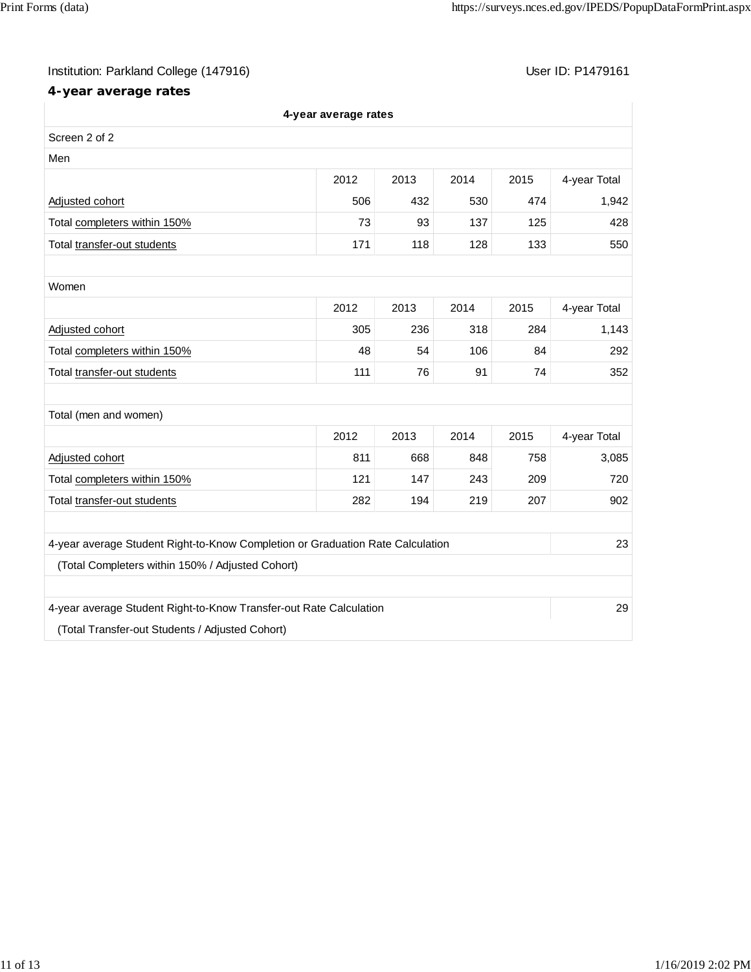# Institution: Parkland College (147916) Contract College (147916)

# **4-year average rates**

|                                                                                | 4-year average rates |      |      |      |              |
|--------------------------------------------------------------------------------|----------------------|------|------|------|--------------|
| Screen 2 of 2                                                                  |                      |      |      |      |              |
| Men                                                                            |                      |      |      |      |              |
|                                                                                | 2012                 | 2013 | 2014 | 2015 | 4-year Total |
| Adjusted cohort                                                                | 506                  | 432  | 530  | 474  | 1,942        |
| Total completers within 150%                                                   | 73                   | 93   | 137  | 125  | 428          |
| Total transfer-out students                                                    | 171                  | 118  | 128  | 133  | 550          |
|                                                                                |                      |      |      |      |              |
| Women                                                                          |                      |      |      |      |              |
|                                                                                | 2012                 | 2013 | 2014 | 2015 | 4-year Total |
| Adjusted cohort                                                                | 305                  | 236  | 318  | 284  | 1,143        |
| Total completers within 150%                                                   | 48                   | 54   | 106  | 84   | 292          |
| Total transfer-out students                                                    | 111                  | 76   | 91   | 74   | 352          |
|                                                                                |                      |      |      |      |              |
| Total (men and women)                                                          |                      |      |      |      |              |
|                                                                                | 2012                 | 2013 | 2014 | 2015 | 4-year Total |
| Adjusted cohort                                                                | 811                  | 668  | 848  | 758  | 3,085        |
| Total completers within 150%                                                   | 121                  | 147  | 243  | 209  | 720          |
| Total transfer-out students                                                    | 282                  | 194  | 219  | 207  | 902          |
|                                                                                |                      |      |      |      |              |
| 4-year average Student Right-to-Know Completion or Graduation Rate Calculation |                      |      |      |      | 23           |
| (Total Completers within 150% / Adjusted Cohort)                               |                      |      |      |      |              |
|                                                                                |                      |      |      |      |              |
| 4-year average Student Right-to-Know Transfer-out Rate Calculation             |                      |      |      |      | 29           |
| (Total Transfer-out Students / Adjusted Cohort)                                |                      |      |      |      |              |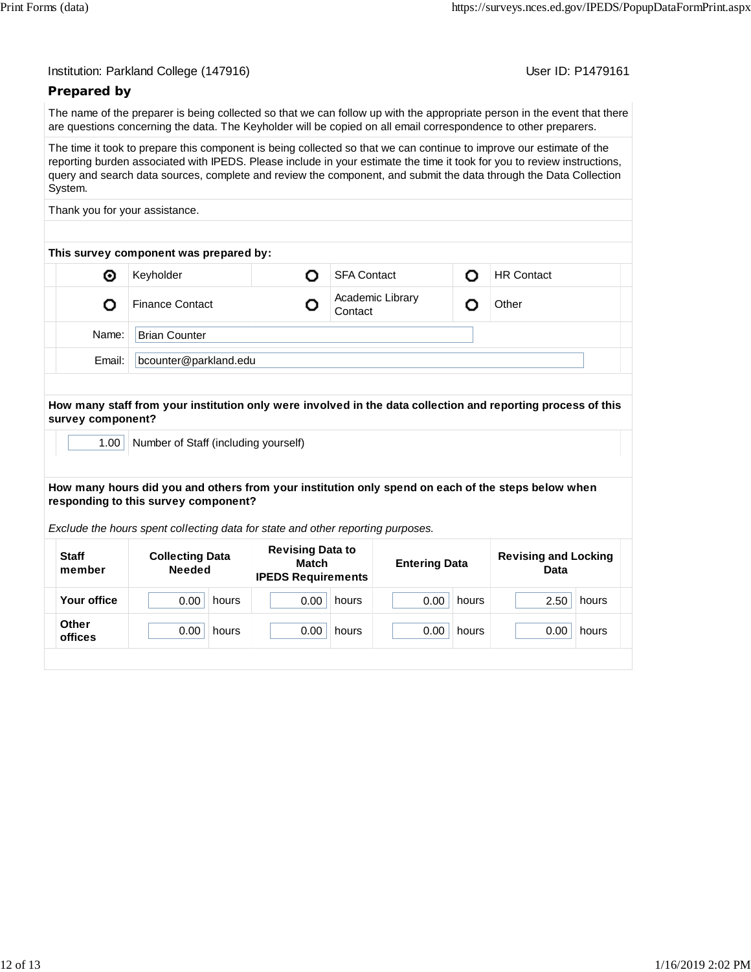User ID: P1479161

# **Prepared by**

The name of the preparer is being collected so that we can follow up with the appropriate person in the event that there are questions concerning the data. The Keyholder will be copied on all email correspondence to other preparers.

The time it took to prepare this component is being collected so that we can continue to improve our estimate of the reporting burden associated with IPEDS. Please include in your estimate the time it took for you to review instructions, query and search data sources, complete and review the component, and submit the data through the Data Collection System.

Thank you for your assistance.

| This survey component was prepared by: |                        |  |                             |   |                   |  |  |
|----------------------------------------|------------------------|--|-----------------------------|---|-------------------|--|--|
| ◉                                      | Keyholder              |  | <b>SFA Contact</b>          | n | <b>HR Contact</b> |  |  |
|                                        | <b>Finance Contact</b> |  | Academic Library<br>Contact |   | Other             |  |  |
| Name:                                  | <b>Brian Counter</b>   |  |                             |   |                   |  |  |
| Email:                                 | bcounter@parkland.edu  |  |                             |   |                   |  |  |

**How many staff from your institution only were involved in the data collection and reporting process of this survey component?**

1.00 | Number of Staff (including yourself)

**How many hours did you and others from your institution only spend on each of the steps below when responding to this survey component?**

*Exclude the hours spent collecting data for state and other reporting purposes.*

| <b>Staff</b><br>member | <b>Collecting Data</b><br><b>Needed</b> | <b>Revising Data to</b><br><b>Match</b><br><b>IPEDS Requirements</b> | <b>Entering Data</b> | <b>Revising and Locking</b><br>Data |  |
|------------------------|-----------------------------------------|----------------------------------------------------------------------|----------------------|-------------------------------------|--|
| Your office            | 0.00                                    | 0.00                                                                 | 0.00                 | 2.50                                |  |
|                        | hours                                   | hours                                                                | hours                | hours                               |  |
| <b>Other</b>           | 0.00                                    | 0.00                                                                 | 0.00                 | 0.00                                |  |
| offices                | hours                                   | hours                                                                | hours                | hours                               |  |
|                        |                                         |                                                                      |                      |                                     |  |